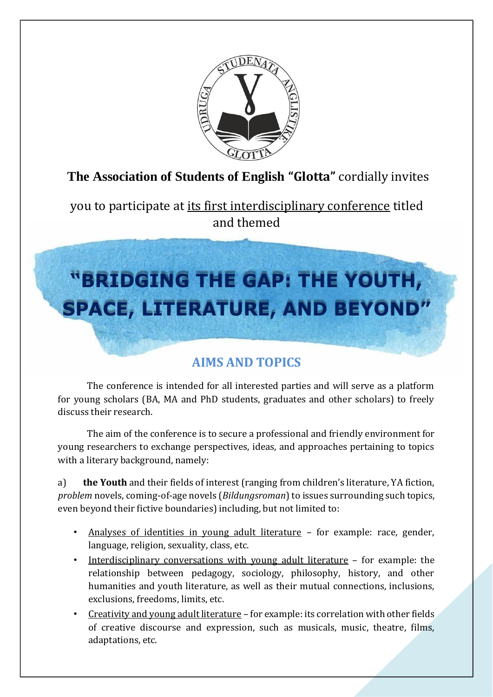

# **The Association of Students of English "Glotta"** cordially invites

you to participate at its first interdisciplinary conference titled and themed

# **"BRIDGING THE GAP: THE YOUTH, SPACE, LITERATURE, AND BEYOND"**

## **AIMS AND TOPICS**

The conference is intended for all interested parties and will serve as a platform for young scholars (BA, MA and PhD students, graduates and other scholars) to freely discuss their research.

The aim of the conference is to secure a professional and friendly environment for young researchers to exchange perspectives, ideas, and approaches pertaining to topics with a literary background, namely:

a) **the Youth** and their fields of interest (ranging from children's literature, YA fiction, *problem* novels, coming-of-age novels (*Bildungsroman*) to issues surrounding such topics, even beyond their fictive boundaries) including, but not limited to:

- Analyses of identities in young adult literature for example: race, gender, language, religion, sexuality, class, etc.
- Interdisciplinary conversations with young adult literature for example: the relationship between pedagogy, sociology, philosophy, history, and other humanities and youth literature, as well as their mutual connections, inclusions, exclusions, freedoms, limits, etc.
- Creativity and young adult literature for example: its correlation with other fields of creative discourse and expression, such as musicals, music, theatre, films, adaptations, etc.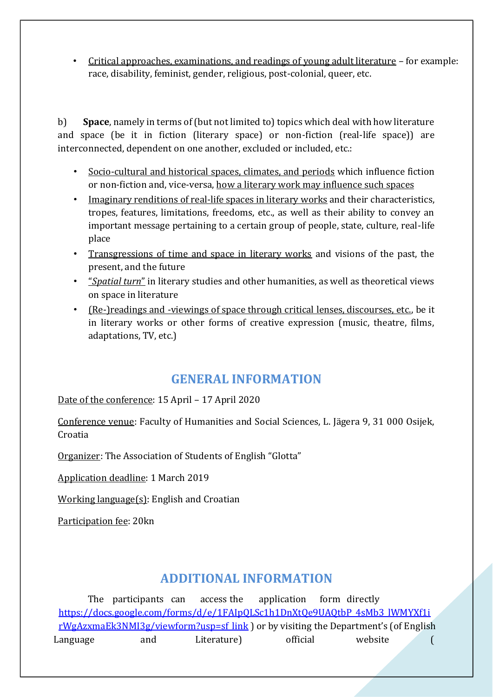• Critical approaches, examinations, and readings of young adult literature – for example: race, disability, feminist, gender, religious, post-colonial, queer, etc.

b) **Space**, namely in terms of (but not limited to) topics which deal with how literature and space (be it in fiction (literary space) or non-fiction (real-life space)) are interconnected, dependent on one another, excluded or included, etc.:

- Socio-cultural and historical spaces, climates, and periods which influence fiction or non-fiction and, vice-versa, how a literary work may influence such spaces
- Imaginary renditions of real-life spaces in literary works and their characteristics, tropes, features, limitations, freedoms, etc., as well as their ability to convey an important message pertaining to a certain group of people, state, culture, real-life place
- Transgressions of time and space in literary works and visions of the past, the present, and the future
- "*Spatial turn*" in literary studies and other humanities, as well as theoretical views on space in literature
- (Re-)readings and -viewings of space through critical lenses, discourses, etc., be it in literary works or other forms of creative expression (music, theatre, films, adaptations, TV, etc.)

### **GENERAL INFORMATION**

Date of the conference: 15 April – 17 April 2020

Conference venue: Faculty of Humanities and Social Sciences, L. Jägera 9, 31 000 Osijek, Croatia

Organizer: The Association of Students of English "Glotta"

Application deadline: 1 March 2019

Working language(s): English and Croatian

Participation fee: 20kn

#### **ADDITIONAL INFORMATION**

The participants can access the application form directly [https://docs.google.com/forms/d/e/1FAIpQLSc1h1DnXtQe9UAQtbP\\_4sMb3\\_lWMYXf1i](https://docs.google.com/forms/d/e/1FAIpQLSc1h1DnXtQe9UAQtbP_4sMb3_lWMYXf1irWgAzxmaEk3NMI3g/viewform?usp=sf_link) [rWgAzxmaEk3NMI3g/viewform?usp=sf\\_link](https://docs.google.com/forms/d/e/1FAIpQLSc1h1DnXtQe9UAQtbP_4sMb3_lWMYXf1irWgAzxmaEk3NMI3g/viewform?usp=sf_link) [\)](https://docs.google.com/forms/d/e/1FAIpQLSc1h1DnXtQe9UAQtbP_4sMb3_lWMYXf1irWgAzxmaEk3NMI3g/viewform?usp=sf_link) or by visiting the Department's (of English Language and Literature) official website (